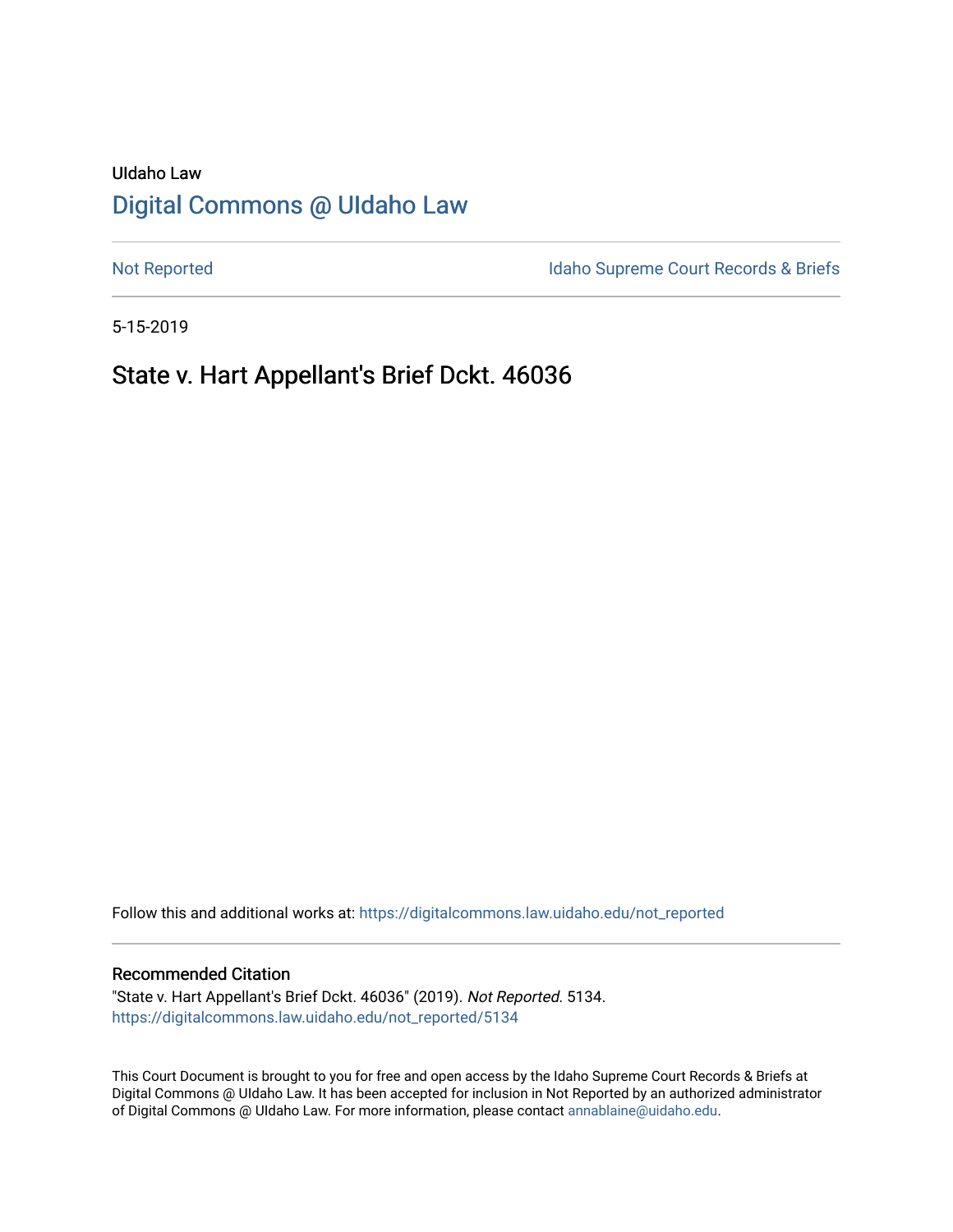# UIdaho Law [Digital Commons @ UIdaho Law](https://digitalcommons.law.uidaho.edu/)

[Not Reported](https://digitalcommons.law.uidaho.edu/not_reported) **Idaho Supreme Court Records & Briefs** 

5-15-2019

# State v. Hart Appellant's Brief Dckt. 46036

Follow this and additional works at: [https://digitalcommons.law.uidaho.edu/not\\_reported](https://digitalcommons.law.uidaho.edu/not_reported?utm_source=digitalcommons.law.uidaho.edu%2Fnot_reported%2F5134&utm_medium=PDF&utm_campaign=PDFCoverPages) 

#### Recommended Citation

"State v. Hart Appellant's Brief Dckt. 46036" (2019). Not Reported. 5134. [https://digitalcommons.law.uidaho.edu/not\\_reported/5134](https://digitalcommons.law.uidaho.edu/not_reported/5134?utm_source=digitalcommons.law.uidaho.edu%2Fnot_reported%2F5134&utm_medium=PDF&utm_campaign=PDFCoverPages)

This Court Document is brought to you for free and open access by the Idaho Supreme Court Records & Briefs at Digital Commons @ UIdaho Law. It has been accepted for inclusion in Not Reported by an authorized administrator of Digital Commons @ UIdaho Law. For more information, please contact [annablaine@uidaho.edu](mailto:annablaine@uidaho.edu).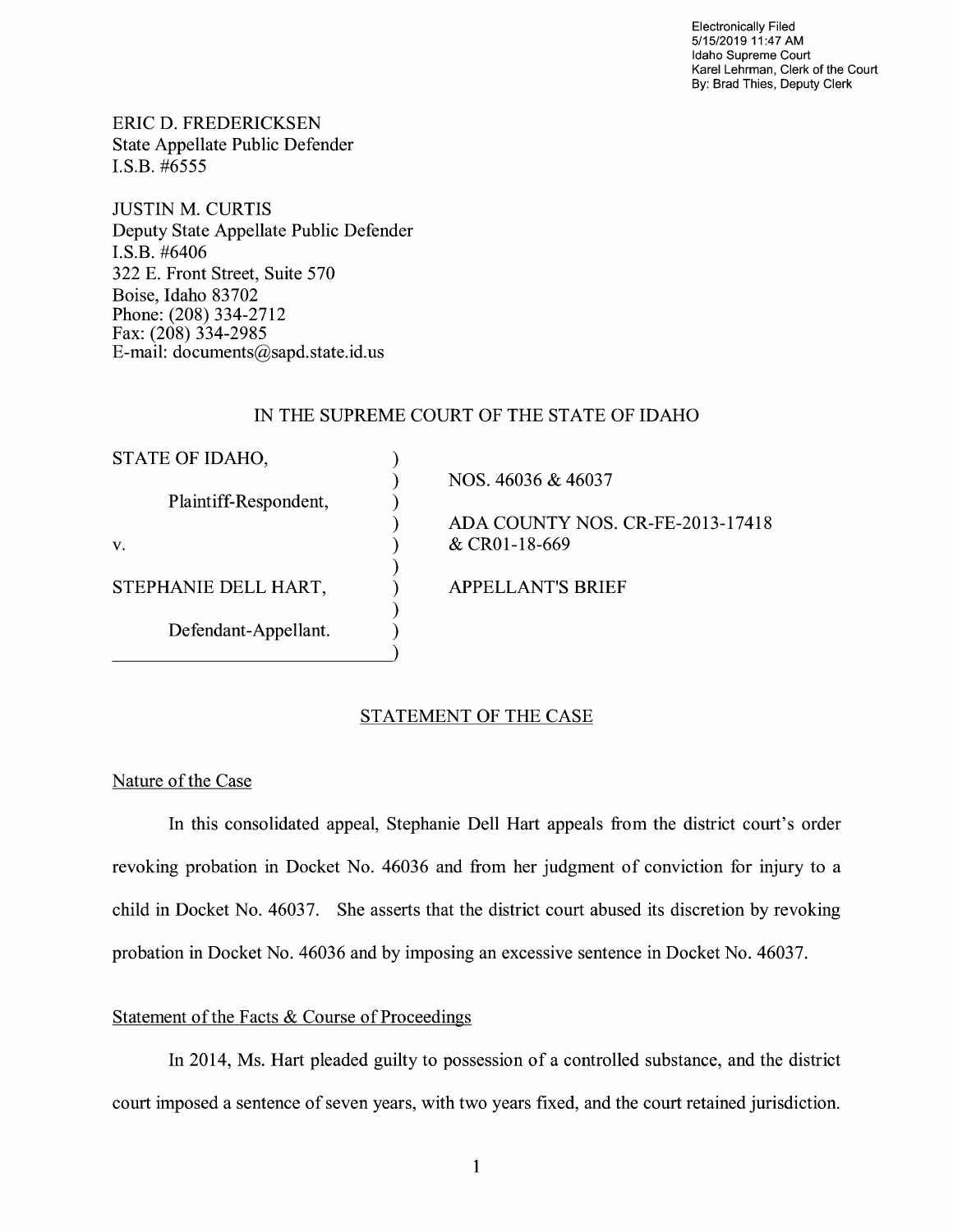Electronically Filed 5/15/2019 11 :47 AM Idaho Supreme Court Karel Lehrman, Clerk of the Court By: Brad Thies, Deputy Clerk

ERIC D. FREDERICKSEN State Appellate Public Defender I.S.B. #6555

JUSTIN M. CURTIS Deputy State Appellate Public Defender **I.S.B.** #6406 322 E. Front Street, Suite 570 Boise, Idaho 83702 Phone: (208) 334-2712 Fax: (208) 334-2985 E-mail: documents@sapd.state.id. us

### IN THE SUPREME COURT OF THE STATE OF IDAHO

) ) ) ) ) ) ) ) )

STATE OF IDAHO,

Plaintiff-Respondent,

V.

STEPHANIE DELL HART,

Defendant-Appellant.

NOS. 46036 & 46037

ADA COUNTY NOS. CR-FE-2013-17418 & CR0l-18-669

APPELLANT'S BRIEF

## STATEMENT OF THE CASE

### Nature of the Case

In this consolidated appeal, Stephanie Dell Hart appeals from the district court's order revoking probation in Docket No. 46036 and from her judgment of conviction for injury to a child in Docket No. 46037. She asserts that the district court abused its discretion by revoking probation in Docket No. 46036 and by imposing an excessive sentence in Docket No. 46037.

### Statement of the Facts & Course of Proceedings

In 2014, Ms. Hart pleaded guilty to possession of a controlled substance, and the district court imposed a sentence of seven years, with two years fixed, and the court retained jurisdiction.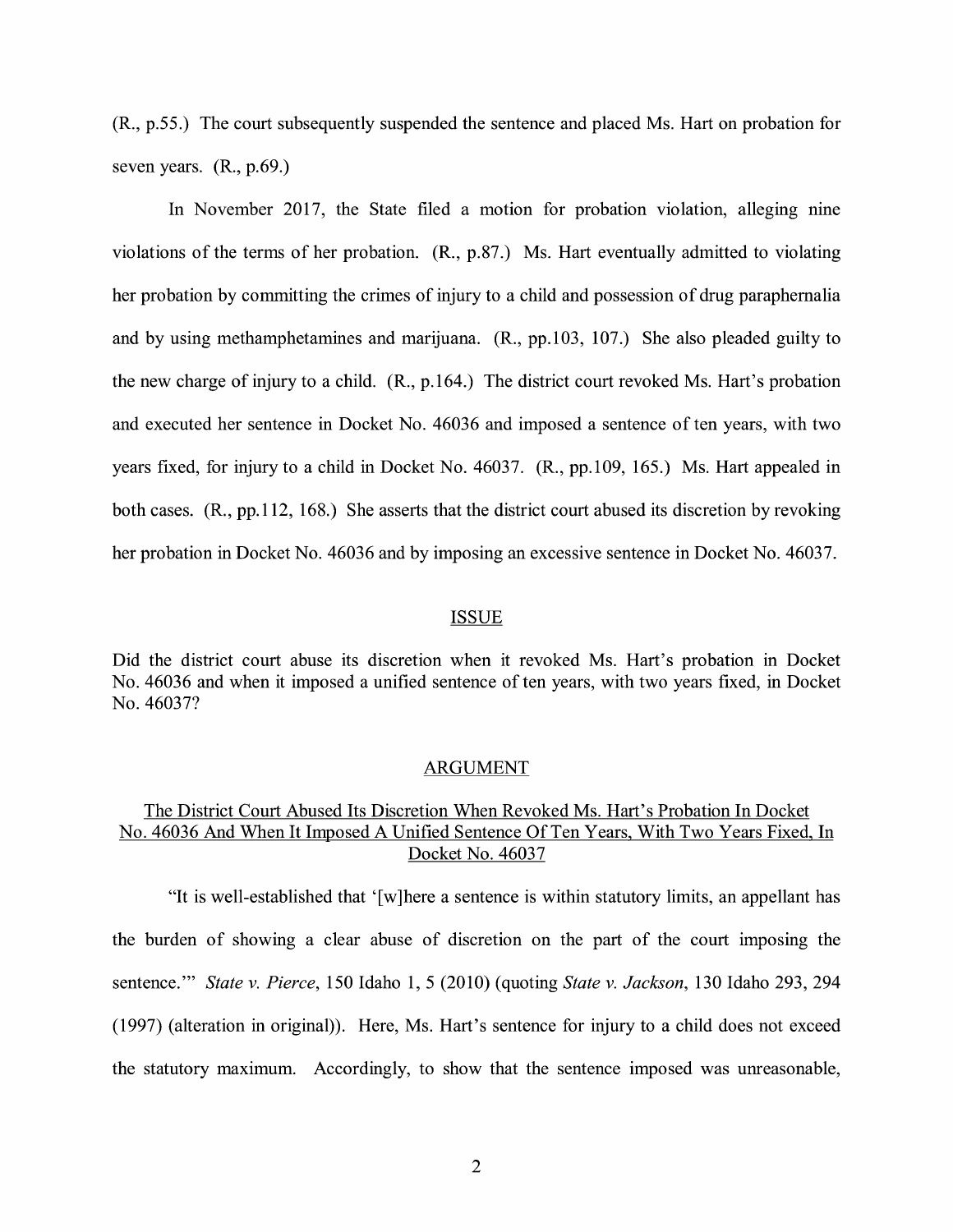(R., p.55.) The court subsequently suspended the sentence and placed Ms. Hart on probation for seven years. **(R.,** p.69.)

In November 2017, the State filed a motion for probation violation, alleging nine violations of the terms of her probation. (R., p.87.) Ms. Hart eventually admitted to violating her probation by committing the crimes of injury to a child and possession of drug paraphernalia and by using methamphetamines and marijuana. **(R.,** pp.103, 107.) She also pleaded guilty to the new charge of injury to a child. **(R.,** p.164.) The district court revoked Ms. Hart's probation and executed her sentence in Docket No. 46036 and imposed a sentence of ten years, with two years fixed, for injury to a child in Docket No. 46037. **(R.,** pp.109, 165.) Ms. Hart appealed in both cases. (R., pp.112, 168.) She asserts that the district court abused its discretion by revoking her probation in Docket No. 46036 and by imposing an excessive sentence in Docket No. 46037.

#### ISSUE

Did the district court abuse its discretion when it revoked Ms. Hart's probation in Docket No. 46036 and when it imposed a unified sentence of ten years, with two years fixed, in Docket No. 46037?

#### ARGUMENT

## The District Court Abused Its Discretion When Revoked Ms. Hart's Probation In Docket No. 46036 And When It Imposed A Unified Sentence Of Ten Years, With Two Years Fixed, In Docket No. 46037

"It is well-established that '[w]here a sentence is within statutory limits, an appellant has the burden of showing a clear abuse of discretion on the part of the court imposing the sentence."' *State v. Pierce,* 150 Idaho 1, 5 (2010) (quoting *State v. Jackson,* 130 Idaho 293, 294 (1997) (alteration in original)). Here, Ms. Hart's sentence for injury to a child does not exceed the statutory maximum. Accordingly, to show that the sentence imposed was unreasonable,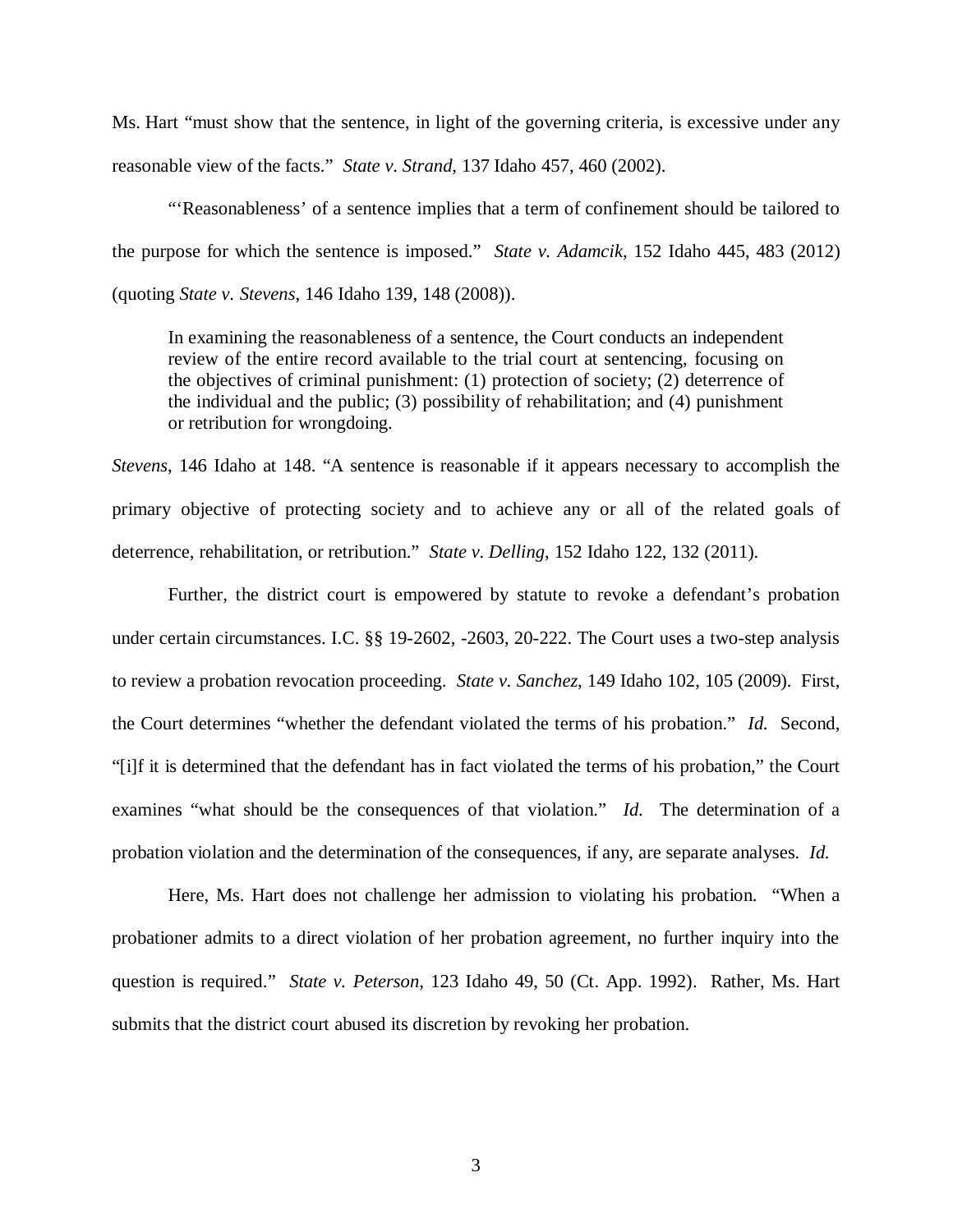Ms. Hart "must show that the sentence, in light of the governing criteria, is excessive under any reasonable view of the facts." *State v. Strand*, 137 Idaho 457, 460 (2002).

"'Reasonableness' of a sentence implies that a term of confinement should be tailored to the purpose for which the sentence is imposed." *State v. Adamcik*, 152 Idaho 445, 483 (2012) (quoting *State v. Stevens*, 146 Idaho 139, 148 (2008)).

In examining the reasonableness of a sentence, the Court conducts an independent review of the entire record available to the trial court at sentencing, focusing on the objectives of criminal punishment: (1) protection of society; (2) deterrence of the individual and the public; (3) possibility of rehabilitation; and (4) punishment or retribution for wrongdoing.

*Stevens*, 146 Idaho at 148. "A sentence is reasonable if it appears necessary to accomplish the primary objective of protecting society and to achieve any or all of the related goals of deterrence, rehabilitation, or retribution." *State v. Delling*, 152 Idaho 122, 132 (2011).

Further, the district court is empowered by statute to revoke a defendant's probation under certain circumstances. I.C. §§ 19-2602, -2603, 20-222. The Court uses a two-step analysis to review a probation revocation proceeding. *State v. Sanchez*, 149 Idaho 102, 105 (2009). First, the Court determines "whether the defendant violated the terms of his probation." *Id.* Second, "[i]f it is determined that the defendant has in fact violated the terms of his probation," the Court examines "what should be the consequences of that violation." *Id.* The determination of a probation violation and the determination of the consequences, if any, are separate analyses. *Id.*

Here, Ms. Hart does not challenge her admission to violating his probation. "When a probationer admits to a direct violation of her probation agreement, no further inquiry into the question is required." *State v. Peterson*, 123 Idaho 49, 50 (Ct. App. 1992). Rather, Ms. Hart submits that the district court abused its discretion by revoking her probation.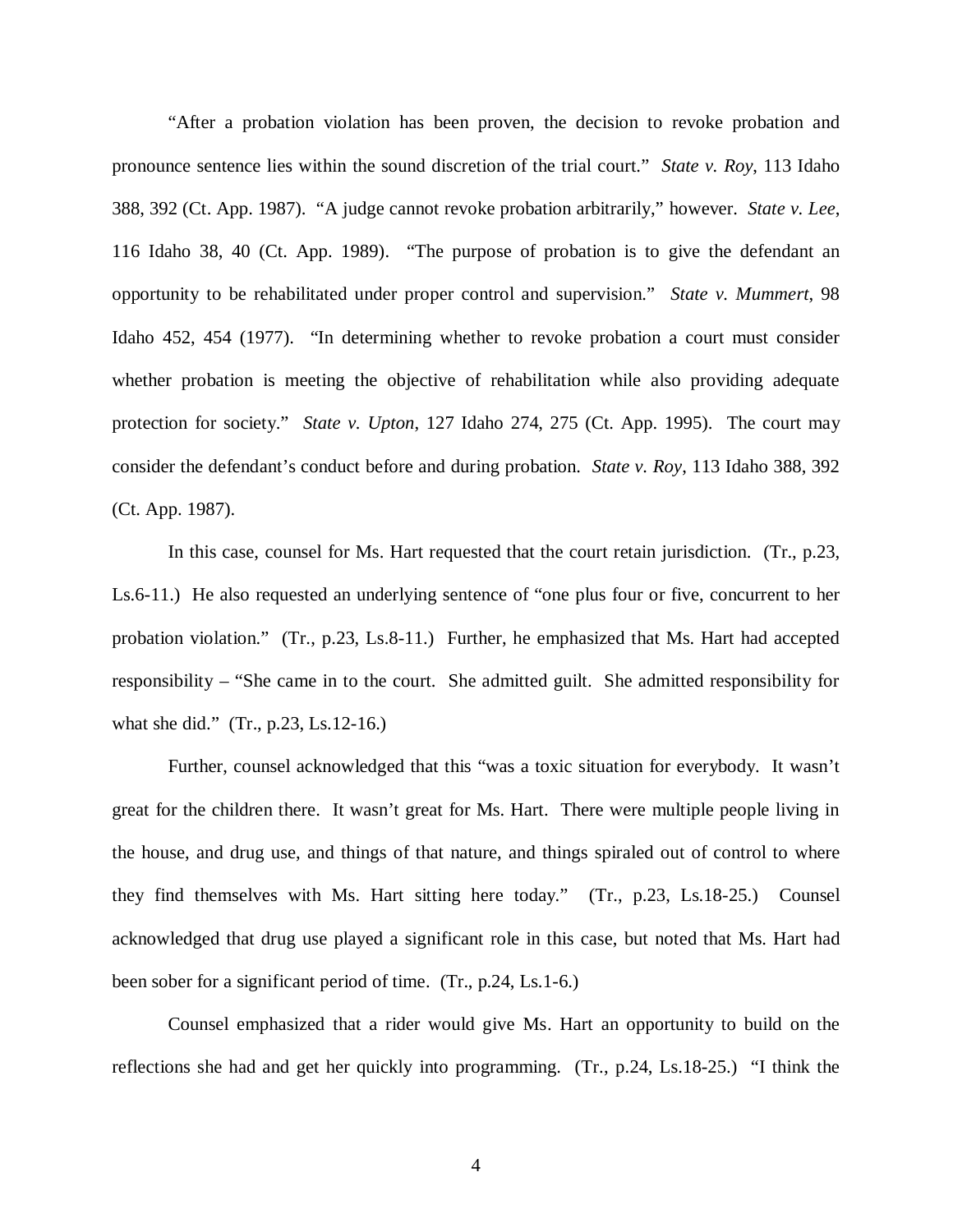"After a probation violation has been proven, the decision to revoke probation and pronounce sentence lies within the sound discretion of the trial court." *State v. Roy*, 113 Idaho 388, 392 (Ct. App. 1987). "A judge cannot revoke probation arbitrarily," however. *State v. Lee*, 116 Idaho 38, 40 (Ct. App. 1989). "The purpose of probation is to give the defendant an opportunity to be rehabilitated under proper control and supervision." *State v. Mummert*, 98 Idaho 452, 454 (1977). "In determining whether to revoke probation a court must consider whether probation is meeting the objective of rehabilitation while also providing adequate protection for society." *State v. Upton*, 127 Idaho 274, 275 (Ct. App. 1995). The court may consider the defendant's conduct before and during probation. *State v. Roy*, 113 Idaho 388, 392 (Ct. App. 1987).

In this case, counsel for Ms. Hart requested that the court retain jurisdiction. (Tr., p.23, Ls.6-11.) He also requested an underlying sentence of "one plus four or five, concurrent to her probation violation." (Tr., p.23, Ls.8-11.) Further, he emphasized that Ms. Hart had accepted responsibility – "She came in to the court. She admitted guilt. She admitted responsibility for what she did." (Tr., p.23, Ls.12-16.)

Further, counsel acknowledged that this "was a toxic situation for everybody. It wasn't great for the children there. It wasn't great for Ms. Hart. There were multiple people living in the house, and drug use, and things of that nature, and things spiraled out of control to where they find themselves with Ms. Hart sitting here today." (Tr., p.23, Ls.18-25.) Counsel acknowledged that drug use played a significant role in this case, but noted that Ms. Hart had been sober for a significant period of time. (Tr., p.24, Ls.1-6.)

Counsel emphasized that a rider would give Ms. Hart an opportunity to build on the reflections she had and get her quickly into programming. (Tr., p.24, Ls.18-25.) "I think the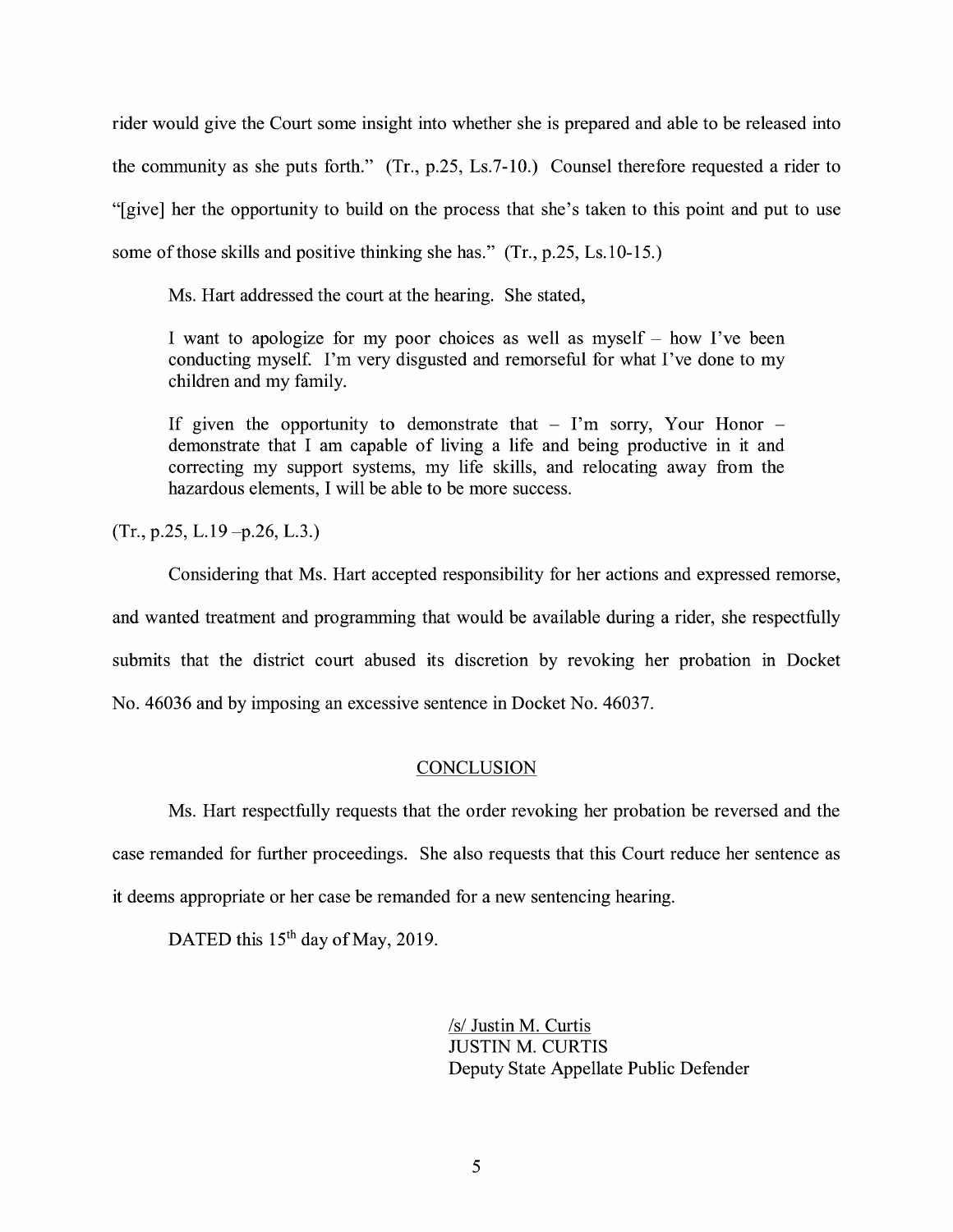rider would give the Court some insight into whether she is prepared and able to be released into the community as she puts forth." (Tr., p.25, Ls.7-10.) Counsel therefore requested a rider to "[give] her the opportunity to build on the process that she's taken to this point and put to use some of those skills and positive thinking she has." (Tr., p.25, Ls.10-15.)

Ms. Hart addressed the court at the hearing. She stated,

I want to apologize for my poor choices as well as myself - how I've been conducting myself. I'm very disgusted and remorseful for what I've done to my children and my family.

If given the opportunity to demonstrate that  $-$  I'm sorry, Your Honor  $$ demonstrate that I am capable of living a life and being productive in it and correcting my support systems, my life skills, and relocating away from the hazardous elements, I will be able to be more success.

 $(Tr., p.25, L.19 - p.26, L.3.)$ 

Considering that Ms. Hart accepted responsibility for her actions and expressed remorse, and wanted treatment and programming that would be available during a rider, she respectfully submits that the district court abused its discretion by revoking her probation in Docket No. 46036 and by imposing an excessive sentence in Docket No. 46037.

## **CONCLUSION**

Ms. Hart respectfully requests that the order revoking her probation be reversed and the case remanded for further proceedings. She also requests that this Court reduce her sentence as it deems appropriate or her case be remanded for a new sentencing hearing.

DATED this 15<sup>th</sup> day of May, 2019.

/s/ Justin M. Curtis JUSTIN M. CURTIS Deputy State Appellate Public Defender